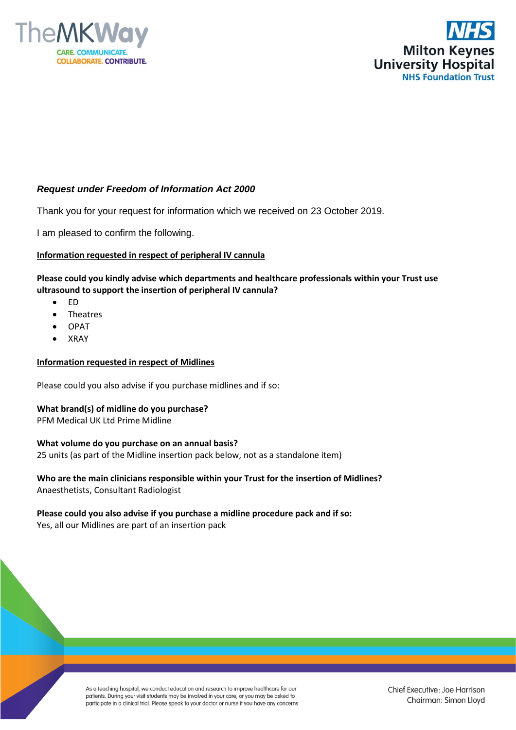



## *Request under Freedom of Information Act 2000*

Thank you for your request for information which we received on 23 October 2019.

I am pleased to confirm the following.

#### **Information requested in respect of peripheral IV cannula**

**Please could you kindly advise which departments and healthcare professionals within your Trust use ultrasound to support the insertion of peripheral IV cannula?**

- ED
- **Theatres**
- OPAT
- XRAY

#### **Information requested in respect of Midlines**

Please could you also advise if you purchase midlines and if so:

## **What brand(s) of midline do you purchase?**

PFM Medical UK Ltd Prime Midline

#### **What volume do you purchase on an annual basis?**

25 units (as part of the Midline insertion pack below, not as a standalone item)

**Who are the main clinicians responsible within your Trust for the insertion of Midlines?** Anaesthetists, Consultant Radiologist

# **Please could you also advise if you purchase a midline procedure pack and if so:**

Yes, all our Midlines are part of an insertion pack

As a teaching hospital, we conduct education and research to improve healthcare for our patients. During your visit students may be involved in your care, or you may be asked to participate in a clinical trial. Please speak to your doctor or nurse if you have any concerns. Chief Executive: Joe Harrison Chairman: Simon Lloyd